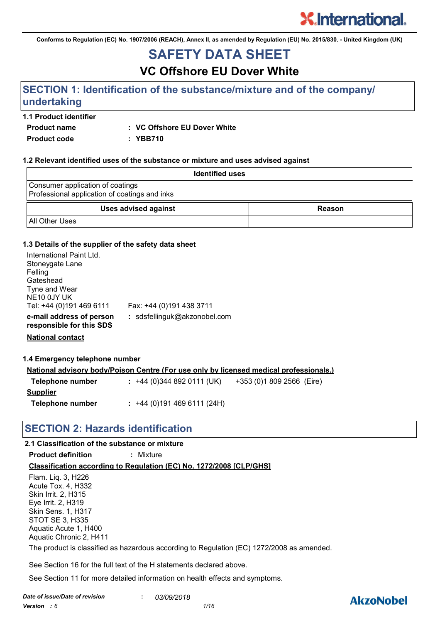**Conforms to Regulation (EC) No. 1907/2006 (REACH), Annex II, as amended by Regulation (EU) No. 2015/830. - United Kingdom (UK)**

# **SAFETY DATA SHEET**

# **VC Offshore EU Dover White**

# **SECTION 1: Identification of the substance/mixture and of the company/ undertaking**

#### **1.1 Product identifier**

**Product name : VC Offshore EU Dover White**

**Product code : YBB710**

#### **1.2 Relevant identified uses of the substance or mixture and uses advised against**

| <b>Identified uses</b>                                                            |               |  |
|-----------------------------------------------------------------------------------|---------------|--|
| Consumer application of coatings<br>Professional application of coatings and inks |               |  |
| Uses advised against                                                              | <b>Reason</b> |  |
| <b>All Other Uses</b>                                                             |               |  |

#### **1.3 Details of the supplier of the safety data sheet**

| : sdsfellinguk@akzonobel.com |                          |
|------------------------------|--------------------------|
|                              | Fax: +44 (0)191 438 3711 |

**National contact**

#### **1.4 Emergency telephone number**

|                  | <u>National advisory body/Poison Centre (For use only by licensed medical professionals.)</u> |  |
|------------------|-----------------------------------------------------------------------------------------------|--|
| Telephone number | $: +44(0)3448920111(UK)$<br>+353 (0)1 809 2566 (Eire)                                         |  |
| <u>Supplier</u>  |                                                                                               |  |
| Telephone number | $: +44(0)1914696111(24H)$                                                                     |  |

## **SECTION 2: Hazards identification**

#### **2.1 Classification of the substance or mixture**

**Product definition :** Mixture

**Classification according to Regulation (EC) No. 1272/2008 [CLP/GHS]**

Flam. Liq. 3, H226 Acute Tox. 4, H332 Skin Irrit. 2, H315 Eye Irrit. 2, H319 Skin Sens. 1, H317 STOT SE 3, H335 Aquatic Acute 1, H400 Aquatic Chronic 2, H411 The product is classified as hazardous according to Regulation (EC) 1272/2008 as amended.

See Section 16 for the full text of the H statements declared above.

See Section 11 for more detailed information on health effects and symptoms.

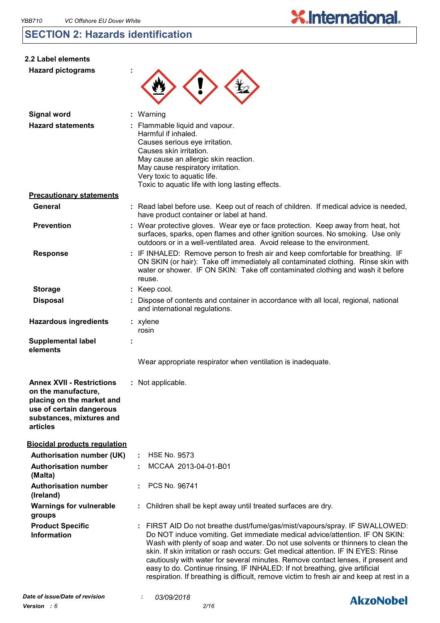# **SECTION 2: Hazards identification**

| 2.2 Label elements                                                                                                                                       |                                                                                                                                                                                                                                                                                                                                                                                                                                                                                                                                                                                                   |
|----------------------------------------------------------------------------------------------------------------------------------------------------------|---------------------------------------------------------------------------------------------------------------------------------------------------------------------------------------------------------------------------------------------------------------------------------------------------------------------------------------------------------------------------------------------------------------------------------------------------------------------------------------------------------------------------------------------------------------------------------------------------|
| <b>Hazard pictograms</b>                                                                                                                                 |                                                                                                                                                                                                                                                                                                                                                                                                                                                                                                                                                                                                   |
| <b>Signal word</b>                                                                                                                                       | Warning                                                                                                                                                                                                                                                                                                                                                                                                                                                                                                                                                                                           |
| <b>Hazard statements</b>                                                                                                                                 | Flammable liquid and vapour.<br>Harmful if inhaled.<br>Causes serious eye irritation.<br>Causes skin irritation.<br>May cause an allergic skin reaction.<br>May cause respiratory irritation.<br>Very toxic to aquatic life.<br>Toxic to aquatic life with long lasting effects.                                                                                                                                                                                                                                                                                                                  |
| <b>Precautionary statements</b>                                                                                                                          |                                                                                                                                                                                                                                                                                                                                                                                                                                                                                                                                                                                                   |
| <b>General</b>                                                                                                                                           | : Read label before use. Keep out of reach of children. If medical advice is needed,<br>have product container or label at hand.                                                                                                                                                                                                                                                                                                                                                                                                                                                                  |
| <b>Prevention</b>                                                                                                                                        | : Wear protective gloves. Wear eye or face protection. Keep away from heat, hot<br>surfaces, sparks, open flames and other ignition sources. No smoking. Use only<br>outdoors or in a well-ventilated area. Avoid release to the environment.                                                                                                                                                                                                                                                                                                                                                     |
| <b>Response</b>                                                                                                                                          | : IF INHALED: Remove person to fresh air and keep comfortable for breathing. IF<br>ON SKIN (or hair): Take off immediately all contaminated clothing. Rinse skin with<br>water or shower. IF ON SKIN: Take off contaminated clothing and wash it before<br>reuse.                                                                                                                                                                                                                                                                                                                                 |
| <b>Storage</b>                                                                                                                                           | : Keep cool.                                                                                                                                                                                                                                                                                                                                                                                                                                                                                                                                                                                      |
| <b>Disposal</b>                                                                                                                                          | : Dispose of contents and container in accordance with all local, regional, national<br>and international regulations.                                                                                                                                                                                                                                                                                                                                                                                                                                                                            |
| <b>Hazardous ingredients</b>                                                                                                                             | : xylene<br>rosin                                                                                                                                                                                                                                                                                                                                                                                                                                                                                                                                                                                 |
| <b>Supplemental label</b><br>elements                                                                                                                    |                                                                                                                                                                                                                                                                                                                                                                                                                                                                                                                                                                                                   |
|                                                                                                                                                          | Wear appropriate respirator when ventilation is inadequate.                                                                                                                                                                                                                                                                                                                                                                                                                                                                                                                                       |
| <b>Annex XVII - Restrictions</b><br>on the manufacture,<br>placing on the market and<br>use of certain dangerous<br>substances, mixtures and<br>articles | : Not applicable.                                                                                                                                                                                                                                                                                                                                                                                                                                                                                                                                                                                 |
| <b>Biocidal products regulation</b>                                                                                                                      |                                                                                                                                                                                                                                                                                                                                                                                                                                                                                                                                                                                                   |
| <b>Authorisation number (UK)</b>                                                                                                                         | <b>HSE No. 9573</b>                                                                                                                                                                                                                                                                                                                                                                                                                                                                                                                                                                               |
| <b>Authorisation number</b><br>(Malta)                                                                                                                   | MCCAA 2013-04-01-B01                                                                                                                                                                                                                                                                                                                                                                                                                                                                                                                                                                              |
| <b>Authorisation number</b><br>(Ireland)                                                                                                                 | PCS No. 96741                                                                                                                                                                                                                                                                                                                                                                                                                                                                                                                                                                                     |
| <b>Warnings for vulnerable</b><br>groups                                                                                                                 | Children shall be kept away until treated surfaces are dry.                                                                                                                                                                                                                                                                                                                                                                                                                                                                                                                                       |
| <b>Product Specific</b><br><b>Information</b>                                                                                                            | : FIRST AID Do not breathe dust/fume/gas/mist/vapours/spray. IF SWALLOWED:<br>Do NOT induce vomiting. Get immediate medical advice/attention. IF ON SKIN:<br>Wash with plenty of soap and water. Do not use solvents or thinners to clean the<br>skin. If skin irritation or rash occurs: Get medical attention. IF IN EYES: Rinse<br>cautiously with water for several minutes. Remove contact lenses, if present and<br>easy to do. Continue rinsing. IF INHALED: If not breathing, give artificial<br>respiration. If breathing is difficult, remove victim to fresh air and keep at rest in a |

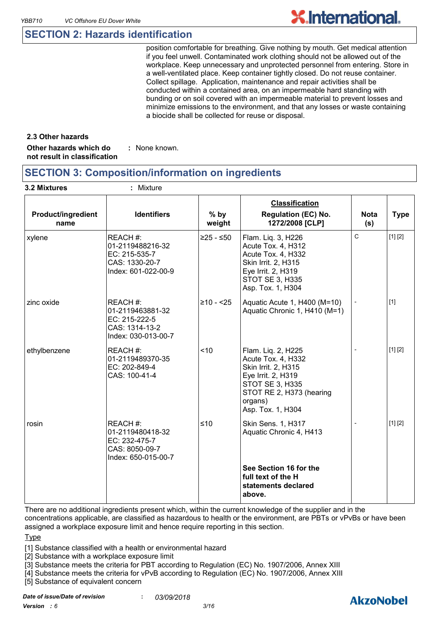### **SECTION 2: Hazards identification**

position comfortable for breathing. Give nothing by mouth. Get medical attention if you feel unwell. Contaminated work clothing should not be allowed out of the workplace. Keep unnecessary and unprotected personnel from entering. Store in a well-ventilated place. Keep container tightly closed. Do not reuse container. Collect spillage. Application, maintenance and repair activities shall be conducted within a contained area, on an impermeable hard standing with bunding or on soil covered with an impermeable material to prevent losses and minimize emissions to the environment, and that any losses or waste containing a biocide shall be collected for reuse or disposal.

#### **2.3 Other hazards**

**Other hazards which do : not result in classification** : None known.

### **SECTION 3: Composition/information on ingredients**

| <b>Product/ingredient</b><br>name | <b>Identifiers</b>                                                                     | $%$ by<br>weight | <b>Classification</b><br><b>Regulation (EC) No.</b><br>1272/2008 [CLP]                                                                                                      | <b>Nota</b><br>(s) | <b>Type</b> |
|-----------------------------------|----------------------------------------------------------------------------------------|------------------|-----------------------------------------------------------------------------------------------------------------------------------------------------------------------------|--------------------|-------------|
| xylene                            | REACH#:<br>01-2119488216-32<br>EC: 215-535-7<br>CAS: 1330-20-7<br>Index: 601-022-00-9  | $≥25 - ≤50$      | Flam. Liq. 3, H226<br>Acute Tox. 4, H312<br>Acute Tox. 4, H332<br>Skin Irrit. 2, H315<br>Eye Irrit. 2, H319<br><b>STOT SE 3, H335</b><br>Asp. Tox. 1, H304                  | $\mathsf{C}$       | [1] [2]     |
| zinc oxide                        | REACH #:<br>01-2119463881-32<br>EC: 215-222-5<br>CAS: 1314-13-2<br>Index: 030-013-00-7 | $≥10 - 25$       | Aquatic Acute 1, H400 (M=10)<br>Aquatic Chronic 1, H410 (M=1)                                                                                                               |                    | $[1]$       |
| ethylbenzene                      | REACH #:<br>01-2119489370-35<br>EC: 202-849-4<br>CAS: 100-41-4                         | < 10             | Flam. Liq. 2, H225<br>Acute Tox. 4, H332<br>Skin Irrit. 2, H315<br>Eye Irrit. 2, H319<br><b>STOT SE 3, H335</b><br>STOT RE 2, H373 (hearing<br>organs)<br>Asp. Tox. 1, H304 |                    | [1] [2]     |
| rosin                             | REACH #:<br>01-2119480418-32<br>EC: 232-475-7<br>CAS: 8050-09-7<br>Index: 650-015-00-7 | $≤10$            | Skin Sens. 1, H317<br>Aquatic Chronic 4, H413                                                                                                                               |                    | [1] [2]     |
|                                   |                                                                                        |                  | See Section 16 for the<br>full text of the H<br>statements declared<br>above.                                                                                               |                    |             |

There are no additional ingredients present which, within the current knowledge of the supplier and in the concentrations applicable, are classified as hazardous to health or the environment, are PBTs or vPvBs or have been assigned a workplace exposure limit and hence require reporting in this section.

#### **Type**

[1] Substance classified with a health or environmental hazard

[2] Substance with a workplace exposure limit

[3] Substance meets the criteria for PBT according to Regulation (EC) No. 1907/2006, Annex XIII

[4] Substance meets the criteria for vPvB according to Regulation (EC) No. 1907/2006, Annex XIII

[5] Substance of equivalent concern

*Date of issue/Date of revision* **:** *03/09/2018*

*Version : 6 3/16*

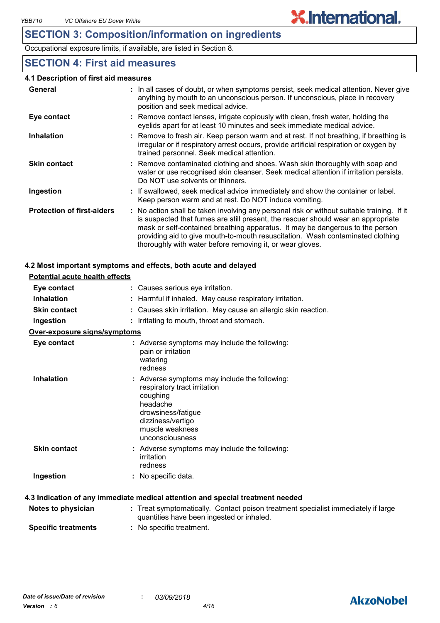## **SECTION 3: Composition/information on ingredients**

Occupational exposure limits, if available, are listed in Section 8.

## **SECTION 4: First aid measures**

#### **4.1 Description of first aid measures**

| General                           | : In all cases of doubt, or when symptoms persist, seek medical attention. Never give<br>anything by mouth to an unconscious person. If unconscious, place in recovery<br>position and seek medical advice.                                                                                                                                                                                                     |
|-----------------------------------|-----------------------------------------------------------------------------------------------------------------------------------------------------------------------------------------------------------------------------------------------------------------------------------------------------------------------------------------------------------------------------------------------------------------|
| Eye contact                       | : Remove contact lenses, irrigate copiously with clean, fresh water, holding the<br>eyelids apart for at least 10 minutes and seek immediate medical advice.                                                                                                                                                                                                                                                    |
| <b>Inhalation</b>                 | : Remove to fresh air. Keep person warm and at rest. If not breathing, if breathing is<br>irregular or if respiratory arrest occurs, provide artificial respiration or oxygen by<br>trained personnel. Seek medical attention.                                                                                                                                                                                  |
| <b>Skin contact</b>               | : Remove contaminated clothing and shoes. Wash skin thoroughly with soap and<br>water or use recognised skin cleanser. Seek medical attention if irritation persists.<br>Do NOT use solvents or thinners.                                                                                                                                                                                                       |
| Ingestion                         | : If swallowed, seek medical advice immediately and show the container or label.<br>Keep person warm and at rest. Do NOT induce vomiting.                                                                                                                                                                                                                                                                       |
| <b>Protection of first-aiders</b> | : No action shall be taken involving any personal risk or without suitable training. If it<br>is suspected that fumes are still present, the rescuer should wear an appropriate<br>mask or self-contained breathing apparatus. It may be dangerous to the person<br>providing aid to give mouth-to-mouth resuscitation. Wash contaminated clothing<br>thoroughly with water before removing it, or wear gloves. |

#### **4.2 Most important symptoms and effects, both acute and delayed**

| <b>Potential acute health effects</b> |                                                                                                                                                                                        |
|---------------------------------------|----------------------------------------------------------------------------------------------------------------------------------------------------------------------------------------|
| Eye contact                           | : Causes serious eye irritation.                                                                                                                                                       |
| <b>Inhalation</b>                     | : Harmful if inhaled. May cause respiratory irritation.                                                                                                                                |
| <b>Skin contact</b>                   | : Causes skin irritation. May cause an allergic skin reaction.                                                                                                                         |
| Ingestion                             | : Irritating to mouth, throat and stomach.                                                                                                                                             |
| Over-exposure signs/symptoms          |                                                                                                                                                                                        |
| Eye contact                           | : Adverse symptoms may include the following:<br>pain or irritation<br>watering<br>redness                                                                                             |
| <b>Inhalation</b>                     | : Adverse symptoms may include the following:<br>respiratory tract irritation<br>coughing<br>headache<br>drowsiness/fatigue<br>dizziness/vertigo<br>muscle weakness<br>unconsciousness |
| <b>Skin contact</b>                   | : Adverse symptoms may include the following:<br>irritation<br>redness                                                                                                                 |
| Ingestion                             | : No specific data.                                                                                                                                                                    |
|                                       | 4.3 Indication of any immediate medical attention and special treatment needed                                                                                                         |
| Notes to physician                    | : Treat symptomatically. Contact poison treatment specialist immediately if large<br>quantities have been ingested or inhaled.                                                         |

**Specific treatments :** No specific treatment.



# **X.International.**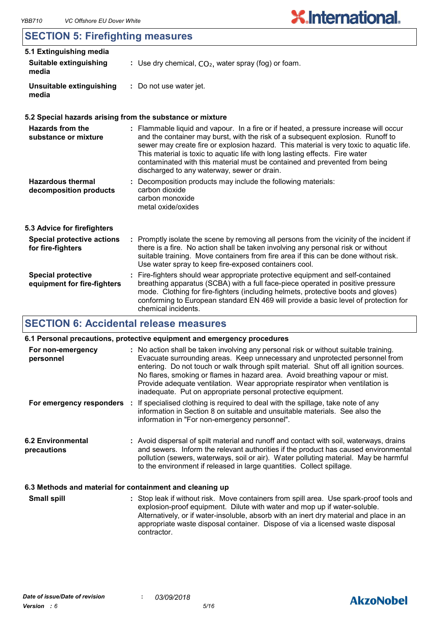## **SECTION 5: Firefighting measures**

| <u>ULU MUN U. MICHYMANIY MCASARTI</u>                    |                                                                                                                                                                                                                                                                                                                                                                                                                                                                                  |
|----------------------------------------------------------|----------------------------------------------------------------------------------------------------------------------------------------------------------------------------------------------------------------------------------------------------------------------------------------------------------------------------------------------------------------------------------------------------------------------------------------------------------------------------------|
| 5.1 Extinguishing media                                  |                                                                                                                                                                                                                                                                                                                                                                                                                                                                                  |
| Suitable extinguishing<br>media                          | : Use dry chemical, $CO2$ , water spray (fog) or foam.                                                                                                                                                                                                                                                                                                                                                                                                                           |
| Unsuitable extinguishing<br>media                        | : Do not use water jet.                                                                                                                                                                                                                                                                                                                                                                                                                                                          |
|                                                          | 5.2 Special hazards arising from the substance or mixture                                                                                                                                                                                                                                                                                                                                                                                                                        |
| <b>Hazards from the</b><br>substance or mixture          | : Flammable liquid and vapour. In a fire or if heated, a pressure increase will occur<br>and the container may burst, with the risk of a subsequent explosion. Runoff to<br>sewer may create fire or explosion hazard. This material is very toxic to aquatic life.<br>This material is toxic to aquatic life with long lasting effects. Fire water<br>contaminated with this material must be contained and prevented from being<br>discharged to any waterway, sewer or drain. |
| <b>Hazardous thermal</b><br>decomposition products       | Decomposition products may include the following materials:<br>carbon dioxide<br>carbon monoxide<br>metal oxide/oxides                                                                                                                                                                                                                                                                                                                                                           |
| 5.3 Advice for firefighters                              |                                                                                                                                                                                                                                                                                                                                                                                                                                                                                  |
| <b>Special protective actions</b><br>for fire-fighters   | : Promptly isolate the scene by removing all persons from the vicinity of the incident if<br>there is a fire. No action shall be taken involving any personal risk or without<br>suitable training. Move containers from fire area if this can be done without risk.<br>Use water spray to keep fire-exposed containers cool.                                                                                                                                                    |
| <b>Special protective</b><br>equipment for fire-fighters | Fire-fighters should wear appropriate protective equipment and self-contained<br>breathing apparatus (SCBA) with a full face-piece operated in positive pressure<br>mode. Clothing for fire-fighters (including helmets, protective boots and gloves)<br>conforming to European standard EN 469 will provide a basic level of protection for<br>chemical incidents.                                                                                                              |

## **SECTION 6: Accidental release measures**

|                                                          | 6.1 Personal precautions, protective equipment and emergency procedures                                                                                                                                                                                                                                                                                                                                                                                                                        |
|----------------------------------------------------------|------------------------------------------------------------------------------------------------------------------------------------------------------------------------------------------------------------------------------------------------------------------------------------------------------------------------------------------------------------------------------------------------------------------------------------------------------------------------------------------------|
| For non-emergency<br>personnel                           | : No action shall be taken involving any personal risk or without suitable training.<br>Evacuate surrounding areas. Keep unnecessary and unprotected personnel from<br>entering. Do not touch or walk through spilt material. Shut off all ignition sources.<br>No flares, smoking or flames in hazard area. Avoid breathing vapour or mist.<br>Provide adequate ventilation. Wear appropriate respirator when ventilation is<br>inadequate. Put on appropriate personal protective equipment. |
| For emergency responders                                 | : If specialised clothing is required to deal with the spillage, take note of any<br>information in Section 8 on suitable and unsuitable materials. See also the<br>information in "For non-emergency personnel".                                                                                                                                                                                                                                                                              |
| <b>6.2 Environmental</b><br>precautions                  | : Avoid dispersal of spilt material and runoff and contact with soil, waterways, drains<br>and sewers. Inform the relevant authorities if the product has caused environmental<br>pollution (sewers, waterways, soil or air). Water polluting material. May be harmful<br>to the environment if released in large quantities. Collect spillage.                                                                                                                                                |
| 6.3 Methods and material for containment and cleaning up |                                                                                                                                                                                                                                                                                                                                                                                                                                                                                                |

Stop leak if without risk. Move containers from spill area. Use spark-proof tools and explosion-proof equipment. Dilute with water and mop up if water-soluble. Alternatively, or if water-insoluble, absorb with an inert dry material and place in an appropriate waste disposal container. Dispose of via a licensed waste disposal contractor. **Small spill :**

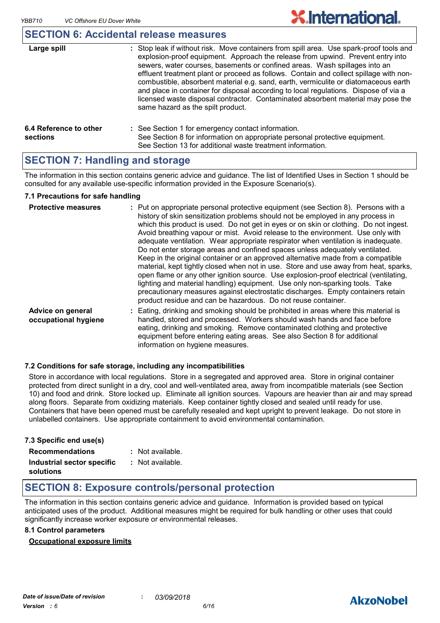#### **SECTION 6: Accidental release measures**

| Large spill                        | : Stop leak if without risk. Move containers from spill area. Use spark-proof tools and<br>explosion-proof equipment. Approach the release from upwind. Prevent entry into<br>sewers, water courses, basements or confined areas. Wash spillages into an<br>effluent treatment plant or proceed as follows. Contain and collect spillage with non-<br>combustible, absorbent material e.g. sand, earth, vermiculite or diatomaceous earth<br>and place in container for disposal according to local regulations. Dispose of via a<br>licensed waste disposal contractor. Contaminated absorbent material may pose the<br>same hazard as the spilt product. |
|------------------------------------|------------------------------------------------------------------------------------------------------------------------------------------------------------------------------------------------------------------------------------------------------------------------------------------------------------------------------------------------------------------------------------------------------------------------------------------------------------------------------------------------------------------------------------------------------------------------------------------------------------------------------------------------------------|
| 6.4 Reference to other<br>sections | : See Section 1 for emergency contact information.<br>See Section 8 for information on appropriate personal protective equipment.<br>See Section 13 for additional waste treatment information.                                                                                                                                                                                                                                                                                                                                                                                                                                                            |

## **SECTION 7: Handling and storage**

The information in this section contains generic advice and guidance. The list of Identified Uses in Section 1 should be consulted for any available use-specific information provided in the Exposure Scenario(s).

#### **7.1 Precautions for safe handling**

| <b>Protective measures</b>                | : Put on appropriate personal protective equipment (see Section 8). Persons with a<br>history of skin sensitization problems should not be employed in any process in<br>which this product is used. Do not get in eyes or on skin or clothing. Do not ingest.<br>Avoid breathing vapour or mist. Avoid release to the environment. Use only with<br>adequate ventilation. Wear appropriate respirator when ventilation is inadequate.<br>Do not enter storage areas and confined spaces unless adequately ventilated.<br>Keep in the original container or an approved alternative made from a compatible<br>material, kept tightly closed when not in use. Store and use away from heat, sparks,<br>open flame or any other ignition source. Use explosion-proof electrical (ventilating,<br>lighting and material handling) equipment. Use only non-sparking tools. Take<br>precautionary measures against electrostatic discharges. Empty containers retain<br>product residue and can be hazardous. Do not reuse container. |
|-------------------------------------------|----------------------------------------------------------------------------------------------------------------------------------------------------------------------------------------------------------------------------------------------------------------------------------------------------------------------------------------------------------------------------------------------------------------------------------------------------------------------------------------------------------------------------------------------------------------------------------------------------------------------------------------------------------------------------------------------------------------------------------------------------------------------------------------------------------------------------------------------------------------------------------------------------------------------------------------------------------------------------------------------------------------------------------|
| Advice on general<br>occupational hygiene | : Eating, drinking and smoking should be prohibited in areas where this material is<br>handled, stored and processed. Workers should wash hands and face before<br>eating, drinking and smoking. Remove contaminated clothing and protective<br>equipment before entering eating areas. See also Section 8 for additional<br>information on hygiene measures.                                                                                                                                                                                                                                                                                                                                                                                                                                                                                                                                                                                                                                                                    |

#### **7.2 Conditions for safe storage, including any incompatibilities**

Store in accordance with local regulations. Store in a segregated and approved area. Store in original container protected from direct sunlight in a dry, cool and well-ventilated area, away from incompatible materials (see Section 10) and food and drink. Store locked up. Eliminate all ignition sources. Vapours are heavier than air and may spread along floors. Separate from oxidizing materials. Keep container tightly closed and sealed until ready for use. Containers that have been opened must be carefully resealed and kept upright to prevent leakage. Do not store in unlabelled containers. Use appropriate containment to avoid environmental contamination.

| 7.3 Specific end use(s)                 |                  |
|-----------------------------------------|------------------|
| <b>Recommendations</b>                  | : Not available. |
| Industrial sector specific<br>solutions | : Not available. |

### **SECTION 8: Exposure controls/personal protection**

The information in this section contains generic advice and guidance. Information is provided based on typical anticipated uses of the product. Additional measures might be required for bulk handling or other uses that could significantly increase worker exposure or environmental releases.

#### **8.1 Control parameters**

#### **Occupational exposure limits**

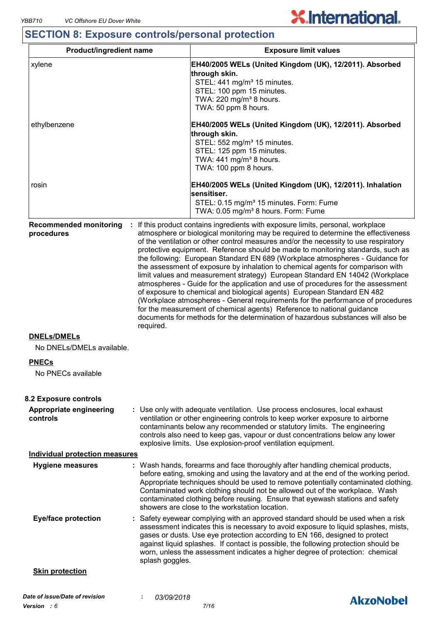# **SECTION 8: Exposure controls/personal protection**

| <b>Product/ingredient name</b>                   |                                                                                                                                                                                                                                                                                                                                                                                                                                                                             | <b>Exposure limit values</b>                                                                                                                                                                                                                                                                                                                                                                                                                                                                                                                                                                                                                                                                                                                                                                                                                                                                                                                                                                                        |  |  |
|--------------------------------------------------|-----------------------------------------------------------------------------------------------------------------------------------------------------------------------------------------------------------------------------------------------------------------------------------------------------------------------------------------------------------------------------------------------------------------------------------------------------------------------------|---------------------------------------------------------------------------------------------------------------------------------------------------------------------------------------------------------------------------------------------------------------------------------------------------------------------------------------------------------------------------------------------------------------------------------------------------------------------------------------------------------------------------------------------------------------------------------------------------------------------------------------------------------------------------------------------------------------------------------------------------------------------------------------------------------------------------------------------------------------------------------------------------------------------------------------------------------------------------------------------------------------------|--|--|
| xylene                                           |                                                                                                                                                                                                                                                                                                                                                                                                                                                                             | EH40/2005 WELs (United Kingdom (UK), 12/2011). Absorbed<br>through skin.<br>STEL: 441 mg/m <sup>3</sup> 15 minutes.<br>STEL: 100 ppm 15 minutes.<br>TWA: 220 mg/m <sup>3</sup> 8 hours.<br>TWA: 50 ppm 8 hours.                                                                                                                                                                                                                                                                                                                                                                                                                                                                                                                                                                                                                                                                                                                                                                                                     |  |  |
| ethylbenzene                                     |                                                                                                                                                                                                                                                                                                                                                                                                                                                                             | EH40/2005 WELs (United Kingdom (UK), 12/2011). Absorbed<br>through skin.<br>STEL: 552 mg/m <sup>3</sup> 15 minutes.<br>STEL: 125 ppm 15 minutes.<br>TWA: 441 mg/m <sup>3</sup> 8 hours.<br>TWA: 100 ppm 8 hours.                                                                                                                                                                                                                                                                                                                                                                                                                                                                                                                                                                                                                                                                                                                                                                                                    |  |  |
| rosin                                            |                                                                                                                                                                                                                                                                                                                                                                                                                                                                             | EH40/2005 WELs (United Kingdom (UK), 12/2011). Inhalation<br>sensitiser.<br>STEL: 0.15 mg/m <sup>3</sup> 15 minutes. Form: Fume<br>TWA: 0.05 mg/m <sup>3</sup> 8 hours. Form: Fume                                                                                                                                                                                                                                                                                                                                                                                                                                                                                                                                                                                                                                                                                                                                                                                                                                  |  |  |
| <b>Recommended monitoring</b><br>÷<br>procedures | required.                                                                                                                                                                                                                                                                                                                                                                                                                                                                   | If this product contains ingredients with exposure limits, personal, workplace<br>atmosphere or biological monitoring may be required to determine the effectiveness<br>of the ventilation or other control measures and/or the necessity to use respiratory<br>protective equipment. Reference should be made to monitoring standards, such as<br>the following: European Standard EN 689 (Workplace atmospheres - Guidance for<br>the assessment of exposure by inhalation to chemical agents for comparison with<br>limit values and measurement strategy) European Standard EN 14042 (Workplace<br>atmospheres - Guide for the application and use of procedures for the assessment<br>of exposure to chemical and biological agents) European Standard EN 482<br>(Workplace atmospheres - General requirements for the performance of procedures<br>for the measurement of chemical agents) Reference to national guidance<br>documents for methods for the determination of hazardous substances will also be |  |  |
| <b>DNELs/DMELs</b><br>No DNELs/DMELs available.  |                                                                                                                                                                                                                                                                                                                                                                                                                                                                             |                                                                                                                                                                                                                                                                                                                                                                                                                                                                                                                                                                                                                                                                                                                                                                                                                                                                                                                                                                                                                     |  |  |
| <b>PNECs</b><br>No PNECs available               |                                                                                                                                                                                                                                                                                                                                                                                                                                                                             |                                                                                                                                                                                                                                                                                                                                                                                                                                                                                                                                                                                                                                                                                                                                                                                                                                                                                                                                                                                                                     |  |  |
| 8.2 Exposure controls                            |                                                                                                                                                                                                                                                                                                                                                                                                                                                                             |                                                                                                                                                                                                                                                                                                                                                                                                                                                                                                                                                                                                                                                                                                                                                                                                                                                                                                                                                                                                                     |  |  |
| Appropriate engineering<br>controls              |                                                                                                                                                                                                                                                                                                                                                                                                                                                                             | : Use only with adequate ventilation. Use process enclosures, local exhaust<br>ventilation or other engineering controls to keep worker exposure to airborne<br>contaminants below any recommended or statutory limits. The engineering<br>controls also need to keep gas, vapour or dust concentrations below any lower<br>explosive limits. Use explosion-proof ventilation equipment.                                                                                                                                                                                                                                                                                                                                                                                                                                                                                                                                                                                                                            |  |  |
| <b>Individual protection measures</b>            |                                                                                                                                                                                                                                                                                                                                                                                                                                                                             |                                                                                                                                                                                                                                                                                                                                                                                                                                                                                                                                                                                                                                                                                                                                                                                                                                                                                                                                                                                                                     |  |  |
| <b>Hygiene measures</b>                          | : Wash hands, forearms and face thoroughly after handling chemical products,<br>before eating, smoking and using the lavatory and at the end of the working period.<br>Appropriate techniques should be used to remove potentially contaminated clothing.<br>Contaminated work clothing should not be allowed out of the workplace. Wash<br>contaminated clothing before reusing. Ensure that eyewash stations and safety<br>showers are close to the workstation location. |                                                                                                                                                                                                                                                                                                                                                                                                                                                                                                                                                                                                                                                                                                                                                                                                                                                                                                                                                                                                                     |  |  |
| <b>Eye/face protection</b>                       |                                                                                                                                                                                                                                                                                                                                                                                                                                                                             | : Safety eyewear complying with an approved standard should be used when a risk<br>assessment indicates this is necessary to avoid exposure to liquid splashes, mists,<br>gases or dusts. Use eye protection according to EN 166, designed to protect<br>against liquid splashes. If contact is possible, the following protection should be<br>worn, unless the assessment indicates a higher degree of protection: chemical                                                                                                                                                                                                                                                                                                                                                                                                                                                                                                                                                                                       |  |  |
|                                                  | splash goggles.                                                                                                                                                                                                                                                                                                                                                                                                                                                             |                                                                                                                                                                                                                                                                                                                                                                                                                                                                                                                                                                                                                                                                                                                                                                                                                                                                                                                                                                                                                     |  |  |

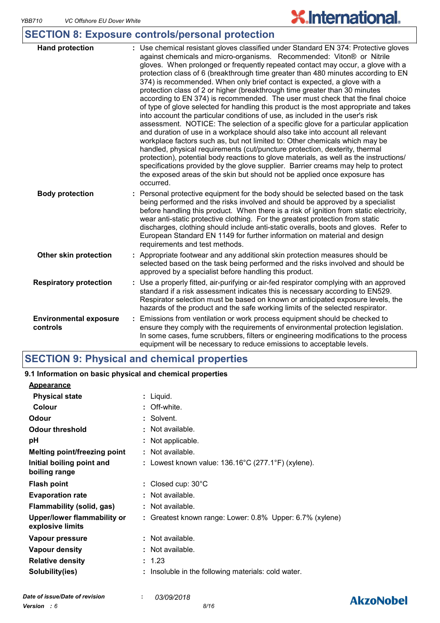**AkzoNobel** 

# **SECTION 8: Exposure controls/personal protection**

| <b>Hand protection</b>                    | : Use chemical resistant gloves classified under Standard EN 374: Protective gloves<br>against chemicals and micro-organisms. Recommended: Viton® or Nitrile<br>gloves. When prolonged or frequently repeated contact may occur, a glove with a<br>protection class of 6 (breakthrough time greater than 480 minutes according to EN<br>374) is recommended. When only brief contact is expected, a glove with a<br>protection class of 2 or higher (breakthrough time greater than 30 minutes<br>according to EN 374) is recommended. The user must check that the final choice<br>of type of glove selected for handling this product is the most appropriate and takes<br>into account the particular conditions of use, as included in the user's risk<br>assessment. NOTICE: The selection of a specific glove for a particular application<br>and duration of use in a workplace should also take into account all relevant<br>workplace factors such as, but not limited to: Other chemicals which may be<br>handled, physical requirements (cut/puncture protection, dexterity, thermal<br>protection), potential body reactions to glove materials, as well as the instructions/<br>specifications provided by the glove supplier. Barrier creams may help to protect<br>the exposed areas of the skin but should not be applied once exposure has<br>occurred. |
|-------------------------------------------|--------------------------------------------------------------------------------------------------------------------------------------------------------------------------------------------------------------------------------------------------------------------------------------------------------------------------------------------------------------------------------------------------------------------------------------------------------------------------------------------------------------------------------------------------------------------------------------------------------------------------------------------------------------------------------------------------------------------------------------------------------------------------------------------------------------------------------------------------------------------------------------------------------------------------------------------------------------------------------------------------------------------------------------------------------------------------------------------------------------------------------------------------------------------------------------------------------------------------------------------------------------------------------------------------------------------------------------------------------------------------|
| <b>Body protection</b>                    | : Personal protective equipment for the body should be selected based on the task<br>being performed and the risks involved and should be approved by a specialist<br>before handling this product. When there is a risk of ignition from static electricity,<br>wear anti-static protective clothing. For the greatest protection from static<br>discharges, clothing should include anti-static overalls, boots and gloves. Refer to<br>European Standard EN 1149 for further information on material and design<br>requirements and test methods.                                                                                                                                                                                                                                                                                                                                                                                                                                                                                                                                                                                                                                                                                                                                                                                                                     |
| Other skin protection                     | : Appropriate footwear and any additional skin protection measures should be<br>selected based on the task being performed and the risks involved and should be<br>approved by a specialist before handling this product.                                                                                                                                                                                                                                                                                                                                                                                                                                                                                                                                                                                                                                                                                                                                                                                                                                                                                                                                                                                                                                                                                                                                                |
| <b>Respiratory protection</b>             | : Use a properly fitted, air-purifying or air-fed respirator complying with an approved<br>standard if a risk assessment indicates this is necessary according to EN529.<br>Respirator selection must be based on known or anticipated exposure levels, the<br>hazards of the product and the safe working limits of the selected respirator.                                                                                                                                                                                                                                                                                                                                                                                                                                                                                                                                                                                                                                                                                                                                                                                                                                                                                                                                                                                                                            |
| <b>Environmental exposure</b><br>controls | Emissions from ventilation or work process equipment should be checked to<br>ensure they comply with the requirements of environmental protection legislation.<br>In some cases, fume scrubbers, filters or engineering modifications to the process<br>equipment will be necessary to reduce emissions to acceptable levels.                                                                                                                                                                                                                                                                                                                                                                                                                                                                                                                                                                                                                                                                                                                                                                                                                                                                                                                                                                                                                                            |

## **SECTION 9: Physical and chemical properties**

| 9.1 Information on basic physical and chemical properties |                                                              |
|-----------------------------------------------------------|--------------------------------------------------------------|
| <b>Appearance</b>                                         |                                                              |
| <b>Physical state</b>                                     | : Liquid.                                                    |
| Colour                                                    | : Off-white.                                                 |
| Odour                                                     | : Solvent.                                                   |
| <b>Odour threshold</b>                                    | : Not available.                                             |
| pH                                                        | : Not applicable.                                            |
| Melting point/freezing point                              | : Not available.                                             |
| Initial boiling point and<br>boiling range                | : Lowest known value: $136.16^{\circ}$ C (277.1°F) (xylene). |
| <b>Flash point</b>                                        | : Closed cup: $30^{\circ}$ C                                 |
| <b>Evaporation rate</b>                                   | : Not available.                                             |
| <b>Flammability (solid, gas)</b>                          | : Not available.                                             |
| Upper/lower flammability or<br>explosive limits           | : Greatest known range: Lower: 0.8% Upper: 6.7% (xylene)     |
| Vapour pressure                                           | : Not available.                                             |
| <b>Vapour density</b>                                     | : Not available.                                             |
| <b>Relative density</b>                                   | : 1.23                                                       |
| Solubility(ies)                                           | Insoluble in the following materials: cold water.            |
|                                                           |                                                              |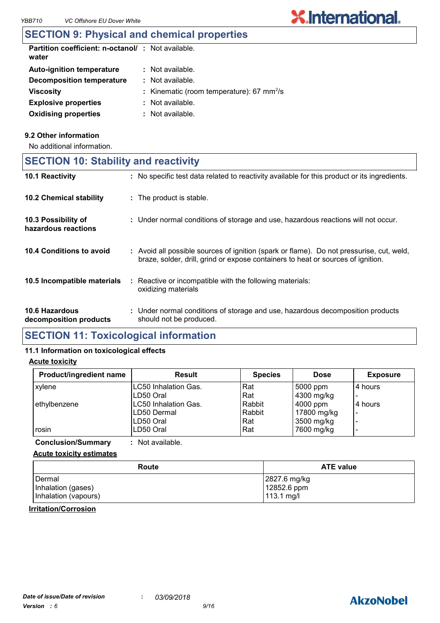| <b>Partition coefficient: n-octanol/: Not available.</b><br>water |                                                            |
|-------------------------------------------------------------------|------------------------------------------------------------|
| <b>Auto-ignition temperature</b>                                  | $:$ Not available.                                         |
| Decomposition temperature                                         | $:$ Not available.                                         |
| <b>Viscosity</b>                                                  | : Kinematic (room temperature): $67 \text{ mm}^2/\text{s}$ |
| <b>Explosive properties</b>                                       | $\therefore$ Not available.                                |
| <b>Oxidising properties</b>                                       | $:$ Not available.                                         |

#### **9.2 Other information**

No additional information.

|  |  | <b>SECTION 10: Stability and reactivity</b> |  |
|--|--|---------------------------------------------|--|
|--|--|---------------------------------------------|--|

| <b>10.1 Reactivity</b>                     | : No specific test data related to reactivity available for this product or its ingredients.                                                                                 |
|--------------------------------------------|------------------------------------------------------------------------------------------------------------------------------------------------------------------------------|
| <b>10.2 Chemical stability</b>             | : The product is stable.                                                                                                                                                     |
| 10.3 Possibility of<br>hazardous reactions | : Under normal conditions of storage and use, hazardous reactions will not occur.                                                                                            |
| 10.4 Conditions to avoid                   | : Avoid all possible sources of ignition (spark or flame). Do not pressurise, cut, weld,<br>braze, solder, drill, grind or expose containers to heat or sources of ignition. |
| 10.5 Incompatible materials                | : Reactive or incompatible with the following materials:<br>oxidizing materials                                                                                              |
| 10.6 Hazardous<br>decomposition products   | : Under normal conditions of storage and use, hazardous decomposition products<br>should not be produced.                                                                    |

## **SECTION 11: Toxicological information**

#### **11.1 Information on toxicological effects**

#### **Acute toxicity**

| Product/ingredient name | <b>Result</b>               | <b>Species</b> | <b>Dose</b> | <b>Exposure</b>          |
|-------------------------|-----------------------------|----------------|-------------|--------------------------|
| xylene                  | LC50 Inhalation Gas.        | Rat            | 5000 ppm    | 4 hours                  |
|                         | LD50 Oral                   | Rat            | 4300 mg/kg  |                          |
| ethylbenzene            | <b>LC50 Inhalation Gas.</b> | Rabbit         | 4000 ppm    | 4 hours                  |
|                         | LD50 Dermal                 | Rabbit         | 17800 mg/kg | $\overline{\phantom{0}}$ |
|                         | LD50 Oral                   | Rat            | 3500 mg/kg  |                          |
| rosin                   | LD50 Oral                   | Rat            | 7600 mg/kg  |                          |

**Conclusion/Summary :** Not available.

#### **Acute toxicity estimates**

| Route                | <b>ATE value</b> |
|----------------------|------------------|
| Dermal               | 2827.6 mg/kg     |
| Inhalation (gases)   | 12852.6 ppm      |
| Inhalation (vapours) | 113.1 mg/l       |

#### **Irritation/Corrosion**

# **AkzoNobel**

**X.International.**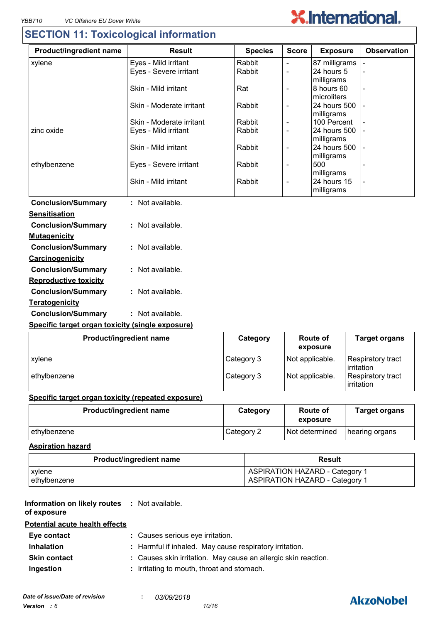# **SECTION 11: Toxicological information**

| Product/ingredient name                          | <b>Result</b>            | <b>Species</b> | <b>Score</b>   | <b>Exposure</b>           | <b>Observation</b> |
|--------------------------------------------------|--------------------------|----------------|----------------|---------------------------|--------------------|
| xylene                                           | Eyes - Mild irritant     | Rabbit         |                | 87 milligrams             |                    |
|                                                  | Eyes - Severe irritant   | Rabbit         | $\overline{a}$ | 24 hours 5                |                    |
|                                                  |                          |                |                | milligrams                |                    |
|                                                  | Skin - Mild irritant     | Rat            |                | 8 hours 60<br>microliters |                    |
|                                                  | Skin - Moderate irritant | Rabbit         |                | 24 hours 500              |                    |
|                                                  |                          |                |                | milligrams                |                    |
|                                                  | Skin - Moderate irritant | Rabbit         | $\blacksquare$ | 100 Percent               |                    |
| zinc oxide                                       | Eyes - Mild irritant     | Rabbit         | $\blacksquare$ | 24 hours 500              |                    |
|                                                  |                          |                |                | milligrams                |                    |
|                                                  | Skin - Mild irritant     | Rabbit         | $\blacksquare$ | 24 hours 500              |                    |
| ethylbenzene                                     | Eyes - Severe irritant   | Rabbit         | $\blacksquare$ | milligrams<br>500         |                    |
|                                                  |                          |                |                | milligrams                |                    |
|                                                  | Skin - Mild irritant     | Rabbit         |                | 24 hours 15               |                    |
|                                                  |                          |                |                | milligrams                |                    |
| <b>Conclusion/Summary</b>                        | : Not available.         |                |                |                           |                    |
| <b>Sensitisation</b>                             |                          |                |                |                           |                    |
| <b>Conclusion/Summary</b>                        | : Not available.         |                |                |                           |                    |
| <b>Mutagenicity</b>                              |                          |                |                |                           |                    |
| <b>Conclusion/Summary</b>                        | : Not available.         |                |                |                           |                    |
| Carcinogenicity                                  |                          |                |                |                           |                    |
|                                                  | : Not available.         |                |                |                           |                    |
| <b>Conclusion/Summary</b>                        |                          |                |                |                           |                    |
| <b>Reproductive toxicity</b>                     |                          |                |                |                           |                    |
| <b>Conclusion/Summary</b>                        | : Not available.         |                |                |                           |                    |
| Teratogenicity                                   |                          |                |                |                           |                    |
| <b>Conclusion/Summary</b>                        | : Not available.         |                |                |                           |                    |
| Specific target organ toxicity (single exposure) |                          |                |                |                           |                    |

| Product/ingredient name | Category   | <b>Route of</b><br>exposure | <b>Target organs</b>                    |
|-------------------------|------------|-----------------------------|-----------------------------------------|
| xylene                  | Category 3 | Not applicable.             | Respiratory tract<br><b>lirritation</b> |
| ethylbenzene            | Category 3 | Not applicable.             | Respiratory tract<br>irritation         |

#### **Specific target organ toxicity (repeated exposure)**

| Product/ingredient name | Category   | Route of<br>exposure | <b>Target organs</b> |
|-------------------------|------------|----------------------|----------------------|
| lethvlbenzene           | Category 2 | Not determined       | hearing organs       |

#### **Aspiration hazard**

| <b>Product/ingredient name</b> | Result                                |
|--------------------------------|---------------------------------------|
| xylene                         | <b>ASPIRATION HAZARD - Category 1</b> |
| ethylbenzene                   | <b>ASPIRATION HAZARD - Category 1</b> |

#### **Information on likely routes : Not available. of exposure**

#### **Potential acute health effects**

| Eye contact         | : Causes serious eye irritation.                               |
|---------------------|----------------------------------------------------------------|
| <b>Inhalation</b>   | : Harmful if inhaled. May cause respiratory irritation.        |
| <b>Skin contact</b> | : Causes skin irritation. May cause an allergic skin reaction. |
| Ingestion           | : Irritating to mouth, throat and stomach.                     |

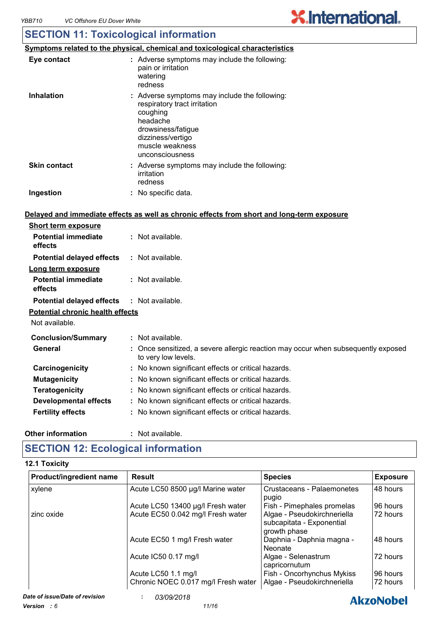## **SECTION 11: Toxicological information**

|                     | <u>Symptoms related to the physical, chemical and toxicological characteristics</u>                                                                                                    |
|---------------------|----------------------------------------------------------------------------------------------------------------------------------------------------------------------------------------|
| Eye contact         | : Adverse symptoms may include the following:<br>pain or irritation<br>watering<br>redness                                                                                             |
| <b>Inhalation</b>   | : Adverse symptoms may include the following:<br>respiratory tract irritation<br>coughing<br>headache<br>drowsiness/fatigue<br>dizziness/vertigo<br>muscle weakness<br>unconsciousness |
| <b>Skin contact</b> | : Adverse symptoms may include the following:<br>irritation<br>redness                                                                                                                 |
| Ingestion           | : No specific data.                                                                                                                                                                    |

#### **Delayed and immediate effects as well as chronic effects from short and long-term exposure**

| <b>Short term exposure</b>              |                                                                                                          |
|-----------------------------------------|----------------------------------------------------------------------------------------------------------|
| <b>Potential immediate</b><br>effects   | $:$ Not available.                                                                                       |
| <b>Potential delayed effects</b>        | $:$ Not available.                                                                                       |
| Long term exposure                      |                                                                                                          |
| <b>Potential immediate</b><br>effects   | $:$ Not available.                                                                                       |
| <b>Potential delayed effects</b>        | : Not available.                                                                                         |
| <b>Potential chronic health effects</b> |                                                                                                          |
| Not available.                          |                                                                                                          |
| <b>Conclusion/Summary</b>               | : Not available.                                                                                         |
| General                                 | : Once sensitized, a severe allergic reaction may occur when subsequently exposed<br>to very low levels. |
| Carcinogenicity                         | : No known significant effects or critical hazards.                                                      |
| <b>Mutagenicity</b>                     | : No known significant effects or critical hazards.                                                      |
| <b>Teratogenicity</b>                   | : No known significant effects or critical hazards.                                                      |
| Developmental effects                   | : No known significant effects or critical hazards.                                                      |
| <b>Fertility effects</b>                | : No known significant effects or critical hazards.                                                      |
|                                         |                                                                                                          |

#### **Other information :**

: Not available.

# **SECTION 12: Ecological information**

#### **12.1 Toxicity**

| Product/ingredient name | Result                                                     | <b>Species</b>                                                           | <b>Exposure</b>      |
|-------------------------|------------------------------------------------------------|--------------------------------------------------------------------------|----------------------|
| xylene                  | Acute LC50 8500 µg/l Marine water                          | Crustaceans - Palaemonetes<br>pugio                                      | 48 hours             |
|                         | Acute LC50 13400 µg/l Fresh water                          | Fish - Pimephales promelas                                               | 96 hours             |
| zinc oxide              | Acute EC50 0.042 mg/l Fresh water                          | Algae - Pseudokirchneriella<br>subcapitata - Exponential<br>growth phase | 72 hours             |
|                         | Acute EC50 1 mg/l Fresh water                              | Daphnia - Daphnia magna -<br>Neonate                                     | 48 hours             |
|                         | Acute IC50 0.17 mg/l                                       | Algae - Selenastrum<br>capricornutum                                     | 72 hours             |
|                         | Acute LC50 1.1 mg/l<br>Chronic NOEC 0.017 mg/l Fresh water | Fish - Oncorhynchus Mykiss<br>Algae - Pseudokirchneriella                | 96 hours<br>72 hours |

# **AkzoNobel**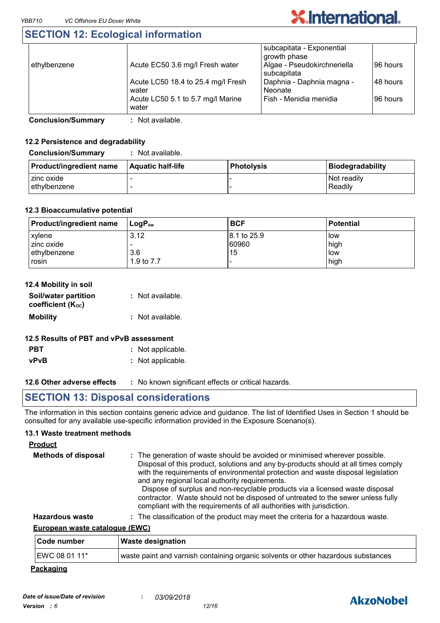# **SECTION 12: Ecological information**

| ethylbenzene | Acute EC50 3.6 mg/l Fresh water             | subcapitata - Exponential<br>growth phase<br>Algae - Pseudokirchneriella<br>subcapitata | 96 hours |
|--------------|---------------------------------------------|-----------------------------------------------------------------------------------------|----------|
|              | Acute LC50 18.4 to 25.4 mg/l Fresh<br>water | Daphnia - Daphnia magna -<br>Neonate                                                    | 48 hours |
|              | Acute LC50 5.1 to 5.7 mg/l Marine<br>water  | Fish - Menidia menidia                                                                  | 96 hours |

**Conclusion/Summary :** Not available.

#### **12.2 Persistence and degradability**

**Conclusion/Summary :** Not available.

| <b>Product/ingredient name</b> | <b>Aquatic half-life</b> | <b>Photolysis</b> | Biodegradability       |
|--------------------------------|--------------------------|-------------------|------------------------|
| I zinc oxide<br>l ethvlbenzene |                          |                   | Not readily<br>Readily |

#### **12.3 Bioaccumulative potential**

| <b>Product/ingredient name</b> | l LoɑP <sub>∾</sub> | <b>BCF</b>   | <b>Potential</b> |
|--------------------------------|---------------------|--------------|------------------|
| <b>xylene</b>                  | 3.12                | 18.1 to 25.9 | low              |
| zinc oxide                     |                     | 60960        | high             |
| lethylbenzene                  | 3.6                 | 15           | l low            |
| rosin                          | 1.9 to 7.7          |              | high             |

| 12.4 Mobility in soil                     |                  |
|-------------------------------------------|------------------|
| Soil/water partition<br>coefficient (Koc) | : Not available. |
| <b>Mobility</b>                           | : Not available. |
| - '' ''' '' '' '' '' ''                   |                  |

### **12.5 Results of PBT and vPvB assessment**

- **PBT :** Not applicable.
- **vPvB :** Not applicable.

**12.6 Other adverse effects** : No known significant effects or critical hazards.

## **SECTION 13: Disposal considerations**

The information in this section contains generic advice and guidance. The list of Identified Uses in Section 1 should be consulted for any available use-specific information provided in the Exposure Scenario(s).

#### **13.1 Waste treatment methods**

| <b>Product</b>             |                                                                                                                                                                                                                                                                                                                                                                                                                                                                                                                                                     |
|----------------------------|-----------------------------------------------------------------------------------------------------------------------------------------------------------------------------------------------------------------------------------------------------------------------------------------------------------------------------------------------------------------------------------------------------------------------------------------------------------------------------------------------------------------------------------------------------|
| <b>Methods of disposal</b> | : The generation of waste should be avoided or minimised wherever possible.<br>Disposal of this product, solutions and any by-products should at all times comply<br>with the requirements of environmental protection and waste disposal legislation<br>and any regional local authority requirements.<br>Dispose of surplus and non-recyclable products via a licensed waste disposal<br>contractor. Waste should not be disposed of untreated to the sewer unless fully<br>compliant with the requirements of all authorities with jurisdiction. |
| <b>Hazardous waste</b>     | : The classification of the product may meet the criteria for a hazardous waste.                                                                                                                                                                                                                                                                                                                                                                                                                                                                    |

#### **European waste catalogue (EWC)**

| <b>Code number</b> | <b>Waste designation</b>                                                          |
|--------------------|-----------------------------------------------------------------------------------|
| EWC 08 01 11*      | waste paint and varnish containing organic solvents or other hazardous substances |

#### **Packaging**

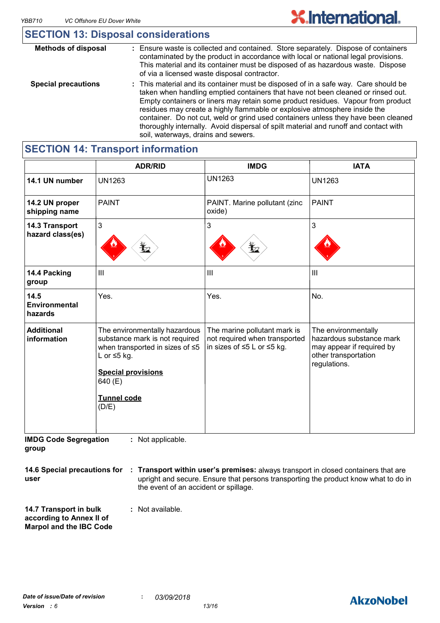# **SECTION 13: Disposal considerations**

| <b>Methods of disposal</b> | : Ensure waste is collected and contained. Store separately. Dispose of containers<br>contaminated by the product in accordance with local or national legal provisions.<br>This material and its container must be disposed of as hazardous waste. Dispose<br>of via a licensed waste disposal contractor.                                                                                                                                                                                                                                                   |
|----------------------------|---------------------------------------------------------------------------------------------------------------------------------------------------------------------------------------------------------------------------------------------------------------------------------------------------------------------------------------------------------------------------------------------------------------------------------------------------------------------------------------------------------------------------------------------------------------|
| <b>Special precautions</b> | : This material and its container must be disposed of in a safe way. Care should be<br>taken when handling emptied containers that have not been cleaned or rinsed out.<br>Empty containers or liners may retain some product residues. Vapour from product<br>residues may create a highly flammable or explosive atmosphere inside the<br>container. Do not cut, weld or grind used containers unless they have been cleaned<br>thoroughly internally. Avoid dispersal of spilt material and runoff and contact with<br>soil, waterways, drains and sewers. |

|                                    | <b>ADR/RID</b>                                                                                                                                                                                       | <b>IMDG</b>                                                                                             | <b>IATA</b>                                                                                                          |
|------------------------------------|------------------------------------------------------------------------------------------------------------------------------------------------------------------------------------------------------|---------------------------------------------------------------------------------------------------------|----------------------------------------------------------------------------------------------------------------------|
| 14.1 UN number                     | <b>UN1263</b>                                                                                                                                                                                        | <b>UN1263</b>                                                                                           | <b>UN1263</b>                                                                                                        |
| 14.2 UN proper<br>shipping name    | <b>PAINT</b>                                                                                                                                                                                         | PAINT. Marine pollutant (zinc<br>oxide)                                                                 | <b>PAINT</b>                                                                                                         |
| 14.3 Transport<br>hazard class(es) | $\mathbf{3}$                                                                                                                                                                                         | 3<br>L                                                                                                  | 3                                                                                                                    |
| 14.4 Packing<br>group              | III                                                                                                                                                                                                  | III                                                                                                     | $\mathbf{III}$                                                                                                       |
| 14.5<br>Environmental<br>hazards   | Yes.                                                                                                                                                                                                 | Yes.                                                                                                    | No.                                                                                                                  |
| <b>Additional</b><br>information   | The environmentally hazardous<br>substance mark is not required<br>when transported in sizes of $\leq 5$<br>L or $\leq$ 5 kg.<br><b>Special provisions</b><br>640 (E)<br><b>Tunnel code</b><br>(D/E) | The marine pollutant mark is<br>not required when transported<br>in sizes of $\leq 5$ L or $\leq 5$ kg. | The environmentally<br>hazardous substance mark<br>may appear if required by<br>other transportation<br>regulations. |

**SECTION 14: Transport information**

**IMDG Code Segregation group :** Not applicable.

**14.6 Special precautions for Transport within user's premises:** always transport in closed containers that are **: user** upright and secure. Ensure that persons transporting the product know what to do in the event of an accident or spillage.

**14.7 Transport in bulk according to Annex II of Marpol and the IBC Code :** Not available.

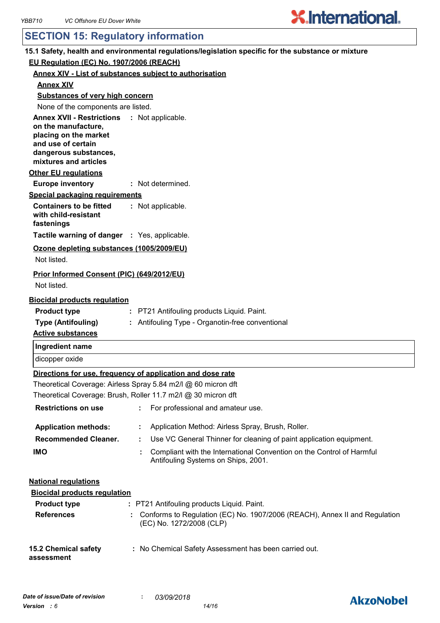# **SECTION 15: Regulatory information**

| 15.1 Safety, health and environmental regulations/legislation specific for the substance or mixture                                                                 |  |  |  |  |
|---------------------------------------------------------------------------------------------------------------------------------------------------------------------|--|--|--|--|
| EU Regulation (EC) No. 1907/2006 (REACH)                                                                                                                            |  |  |  |  |
| <b>Annex XIV - List of substances subject to authorisation</b>                                                                                                      |  |  |  |  |
| <b>Annex XIV</b>                                                                                                                                                    |  |  |  |  |
| <b>Substances of very high concern</b>                                                                                                                              |  |  |  |  |
| None of the components are listed.                                                                                                                                  |  |  |  |  |
| Annex XVII - Restrictions : Not applicable.<br>on the manufacture,<br>placing on the market<br>and use of certain<br>dangerous substances,<br>mixtures and articles |  |  |  |  |
| <b>Other EU regulations</b>                                                                                                                                         |  |  |  |  |
| <b>Europe inventory</b><br>: Not determined.                                                                                                                        |  |  |  |  |
| <b>Special packaging requirements</b>                                                                                                                               |  |  |  |  |
| <b>Containers to be fitted</b><br>: Not applicable.<br>with child-resistant<br>fastenings                                                                           |  |  |  |  |
| Tactile warning of danger : Yes, applicable.                                                                                                                        |  |  |  |  |
| Ozone depleting substances (1005/2009/EU)                                                                                                                           |  |  |  |  |
| Not listed.                                                                                                                                                         |  |  |  |  |
| Prior Informed Consent (PIC) (649/2012/EU)<br>Not listed.                                                                                                           |  |  |  |  |
| <b>Biocidal products regulation</b>                                                                                                                                 |  |  |  |  |
| <b>Product type</b><br>: PT21 Antifouling products Liquid. Paint.                                                                                                   |  |  |  |  |
| <b>Type (Antifouling)</b><br>: Antifouling Type - Organotin-free conventional<br><b>Active substances</b>                                                           |  |  |  |  |
| Ingredient name                                                                                                                                                     |  |  |  |  |
| dicopper oxide                                                                                                                                                      |  |  |  |  |
| Directions for use, frequency of application and dose rate                                                                                                          |  |  |  |  |
| Theoretical Coverage: Airless Spray 5.84 m2/l @ 60 micron dft                                                                                                       |  |  |  |  |
| Theoretical Coverage: Brush, Roller 11.7 m2/l @ 30 micron dft                                                                                                       |  |  |  |  |
| <b>Restrictions on use</b><br>For professional and amateur use.                                                                                                     |  |  |  |  |
| Application Method: Airless Spray, Brush, Roller.<br><b>Application methods:</b>                                                                                    |  |  |  |  |
| <b>Recommended Cleaner.</b><br>Use VC General Thinner for cleaning of paint application equipment.<br>÷.                                                            |  |  |  |  |
| <b>IMO</b><br>Compliant with the International Convention on the Control of Harmful<br>Antifouling Systems on Ships, 2001.                                          |  |  |  |  |
| <b>National requlations</b>                                                                                                                                         |  |  |  |  |
| <b>Biocidal products regulation</b>                                                                                                                                 |  |  |  |  |
| <b>Product type</b><br>: PT21 Antifouling products Liquid. Paint.                                                                                                   |  |  |  |  |
| <b>References</b><br>: Conforms to Regulation (EC) No. 1907/2006 (REACH), Annex II and Regulation<br>(EC) No. 1272/2008 (CLP)                                       |  |  |  |  |
| : No Chemical Safety Assessment has been carried out.<br><b>15.2 Chemical safety</b><br>assessment                                                                  |  |  |  |  |

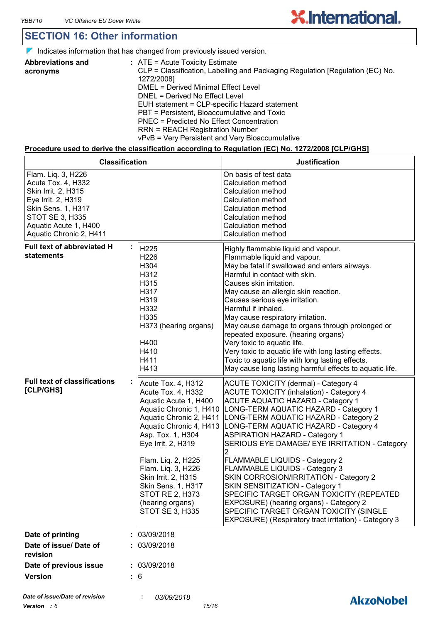### **SECTION 16: Other information**

 $\nabla$  Indicates information that has changed from previously issued version.

| <b>Abbreviations and</b> | $:$ ATE = Acute Toxicity Estimate                                             |
|--------------------------|-------------------------------------------------------------------------------|
| acronyms                 | CLP = Classification, Labelling and Packaging Regulation [Regulation (EC) No. |
|                          | 1272/2008]                                                                    |
|                          | DMEL = Derived Minimal Effect Level                                           |
|                          | DNEL = Derived No Effect Level                                                |
|                          | EUH statement = CLP-specific Hazard statement                                 |
|                          | PBT = Persistent, Bioaccumulative and Toxic                                   |
|                          | PNEC = Predicted No Effect Concentration                                      |
|                          | <b>RRN = REACH Registration Number</b>                                        |
|                          | vPvB = Very Persistent and Very Bioaccumulative                               |

#### **Procedure used to derive the classification according to Regulation (EC) No. 1272/2008 [CLP/GHS]**

| <b>Classification</b>                                                                                                                                                              |                                                                                                                                                                                                                                                                                                                                                                | <b>Justification</b>                                                                                                                                                                                                                                                                                                                                                                                                                                                                                                                                                                                                                                                                                       |  |
|------------------------------------------------------------------------------------------------------------------------------------------------------------------------------------|----------------------------------------------------------------------------------------------------------------------------------------------------------------------------------------------------------------------------------------------------------------------------------------------------------------------------------------------------------------|------------------------------------------------------------------------------------------------------------------------------------------------------------------------------------------------------------------------------------------------------------------------------------------------------------------------------------------------------------------------------------------------------------------------------------------------------------------------------------------------------------------------------------------------------------------------------------------------------------------------------------------------------------------------------------------------------------|--|
| Flam. Liq. 3, H226<br>Acute Tox. 4, H332<br>Skin Irrit. 2, H315<br>Eye Irrit. 2, H319<br>Skin Sens. 1, H317<br>STOT SE 3, H335<br>Aquatic Acute 1, H400<br>Aquatic Chronic 2, H411 |                                                                                                                                                                                                                                                                                                                                                                | On basis of test data<br>Calculation method<br>Calculation method<br>Calculation method<br>Calculation method<br>Calculation method<br>Calculation method<br>Calculation method                                                                                                                                                                                                                                                                                                                                                                                                                                                                                                                            |  |
| <b>Full text of abbreviated H</b><br>statements                                                                                                                                    | H225<br>H226<br>H304<br>H312<br>H315<br>H317<br>H319<br>H332<br>H335<br>H373 (hearing organs)<br>H400<br>H410<br>H411<br>H413                                                                                                                                                                                                                                  | Highly flammable liquid and vapour.<br>Flammable liquid and vapour.<br>May be fatal if swallowed and enters airways.<br>Harmful in contact with skin.<br>Causes skin irritation.<br>May cause an allergic skin reaction.<br>Causes serious eye irritation.<br>Harmful if inhaled.<br>May cause respiratory irritation.<br>May cause damage to organs through prolonged or<br>repeated exposure. (hearing organs)<br>Very toxic to aquatic life.<br>Very toxic to aquatic life with long lasting effects.<br>Toxic to aquatic life with long lasting effects.<br>May cause long lasting harmful effects to aquatic life.                                                                                    |  |
| <b>Full text of classifications</b><br>[CLP/GHS]                                                                                                                                   | Acute Tox. 4, H312<br>Acute Tox. 4, H332<br>Aquatic Acute 1, H400<br>Aquatic Chronic 1, H410<br>Aquatic Chronic 2, H411<br>Aquatic Chronic 4, H413<br>Asp. Tox. 1, H304<br>Eye Irrit. 2, H319<br>Flam. Liq. 2, H225<br>Flam. Liq. 3, H226<br>Skin Irrit. 2, H315<br>Skin Sens. 1, H317<br><b>STOT RE 2, H373</b><br>(hearing organs)<br><b>STOT SE 3, H335</b> | <b>ACUTE TOXICITY (dermal) - Category 4</b><br><b>ACUTE TOXICITY (inhalation) - Category 4</b><br><b>ACUTE AQUATIC HAZARD - Category 1</b><br>LONG-TERM AQUATIC HAZARD - Category 1<br>LONG-TERM AQUATIC HAZARD - Category 2<br>LONG-TERM AQUATIC HAZARD - Category 4<br><b>ASPIRATION HAZARD - Category 1</b><br>SERIOUS EYE DAMAGE/ EYE IRRITATION - Category<br>FLAMMABLE LIQUIDS - Category 2<br>FLAMMABLE LIQUIDS - Category 3<br>SKIN CORROSION/IRRITATION - Category 2<br>SKIN SENSITIZATION - Category 1<br>SPECIFIC TARGET ORGAN TOXICITY (REPEATED<br>EXPOSURE) (hearing organs) - Category 2<br>SPECIFIC TARGET ORGAN TOXICITY (SINGLE<br>EXPOSURE) (Respiratory tract irritation) - Category 3 |  |
| Date of printing                                                                                                                                                                   | 03/09/2018                                                                                                                                                                                                                                                                                                                                                     |                                                                                                                                                                                                                                                                                                                                                                                                                                                                                                                                                                                                                                                                                                            |  |
| Date of issue/ Date of<br>revision                                                                                                                                                 | : 03/09/2018                                                                                                                                                                                                                                                                                                                                                   |                                                                                                                                                                                                                                                                                                                                                                                                                                                                                                                                                                                                                                                                                                            |  |
| Date of previous issue                                                                                                                                                             | : 03/09/2018                                                                                                                                                                                                                                                                                                                                                   |                                                                                                                                                                                                                                                                                                                                                                                                                                                                                                                                                                                                                                                                                                            |  |
| <b>Version</b><br>: 6                                                                                                                                                              |                                                                                                                                                                                                                                                                                                                                                                |                                                                                                                                                                                                                                                                                                                                                                                                                                                                                                                                                                                                                                                                                                            |  |
| Date of issue/Date of revision                                                                                                                                                     | 03/09/2018                                                                                                                                                                                                                                                                                                                                                     |                                                                                                                                                                                                                                                                                                                                                                                                                                                                                                                                                                                                                                                                                                            |  |